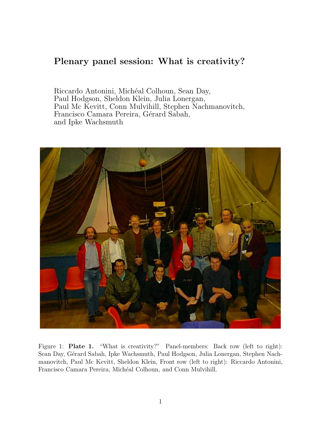## Plenary panel session: What is creativity?

Riccardo Antonini, Michéal Colhoun, Sean Day, Paul Hodgson, Sheldon Klein, Julia Lonergan, Paul Mc Kevitt, Conn Mulvihill, Stephen Nachmanovitch, Francisco Camara Pereira, Gérard Sabah, and Ipke Wachsmuth



Figure 1: **Plate 1.** "What is creativity?" Panel-members: Back row (left to right): Sean Day, Gérard Sabah, Ipke Wachsmuth, Paul Hodgson, Julia Lonergan, Stephen Nachmanovitch, Paul Mc Kevitt, Sheldon Klein, Front row (left to right): Riccardo Antonini, Francisco Camara Pereira, Michéal Colhoun, and Conn Mulvihill.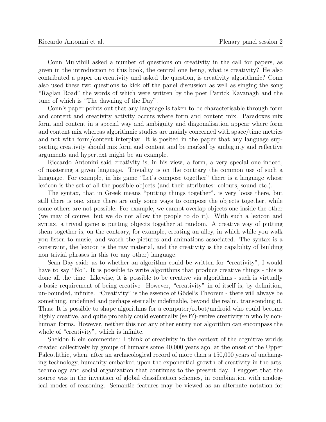Conn Mulvihill asked a number of questions on creativity in the call for papers, as given in the introduction to this book, the central one being, what is creativity? He also contributed a paper on creativity and asked the question, is creativity algorithmic? Conn also used these two questions to kick off the panel discussion as well as singing the song "Raglan Road" the words of which were written by the poet Patrick Kavanagh and the tune of which is "The dawning of the Day".

Conn's paper points out that any language is taken to be characterisable through form and content and creativity activity occurs where form and content mix. Paradoxes mix form and content in a special way and ambiguity and diagonalisation appear where form and content mix whereas algorithmic studies are mainly concerned with space/time metrics and not with form/content interplay. It is posited in the paper that any language supporting creativity should mix form and content and be marked by ambiguity and reflective arguments and hypertext might be an example.

Riccardo Antonini said creativity is, in his view, a form, a very special one indeed, of mastering a given language. Triviality is on the contrary the common use of such a language. For example, in his game "Let's compose together" there is a language whose lexicon is the set of all the possible objects (and their attributes: colours, sound etc.).

The syntax, that in Greek means "putting things together", is very loose there, but still there is one, since there are only some ways to compose the objects together, while some others are not possible. For example, we cannot overlap objects one inside the other (we may of course, but we do not allow the people to do it). With such a lexicon and syntax, a trivial game is putting objects together at random. A creative way of putting them together is, on the contrary, for example, creating an alley, in which while you walk you listen to music, and watch the pictures and animations associated. The syntax is a constraint, the lexicon is the raw material, and the creativity is the capability of building non trivial phrases in this (or any other) language.

Sean Day said: as to whether an algorithm could be written for "creativity", I would have to say "No". It is possible to write algorithms that produce creative things - this is done all the time. Likewise, it is possible to be creative via algorithms - such is virtually a basic requirement of being creative. However, "creativity" in of itself is, by definition, un-bounded, infinite. "Creativity" is the essence of Gödel's Theorem - there will always be something, undefined and perhaps eternally indefinable, beyond the realm, transcending it. Thus: It is possible to shape algorithms for a computer/robot/android who could become highly creative, and quite probably could eventually (self?)-evolve creativity in wholly nonhuman forms. However, neither this nor any other entity nor algorithm can encompass the whole of "creativity", which is infinite.

Sheldon Klein commented: I think of creativity in the context of the cognitive worlds created collectively by groups of humans some 40,000 years ago, at the onset of the Upper Paleotlithic, when, after an archaeological record of more than a 150,000 years of unchanging technology, humanity embarked upon the exponential growth of creativity in the arts, technology and social organization that continues to the present day. I suggest that the source was in the invention of global classification schemes, in combination with analogical modes of reasoning. Semantic features may be viewed as an alternate notation for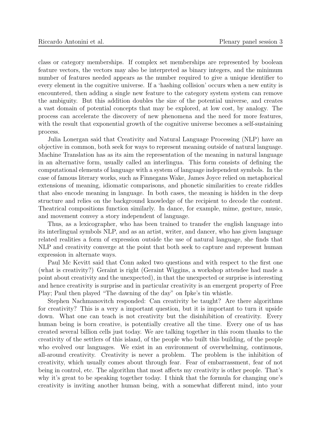class or category memberships. If complex set memberships are represented by boolean feature vectors, the vectors may also be interpreted as binary integers, and the minimum number of features needed appears as the number required to give a unique identifier to every element in the cognitive universe. If a 'hashing collision' occurs when a new entity is encountered, then adding a single new feature to the category system system can remove the ambiguity. But this addition doubles the size of the potential universe, and creates a vast domain of potential concepts that may be explored, at low cost, by analogy. The process can accelerate the discovery of new phenomena and the need for more features, with the result that exponential growth of the cognitive universe becomes a self-sustaining process.

Julia Lonergan said that Creativity and Natural Language Processing (NLP) have an objective in common, both seek for ways to represent meaning outside of natural language. Machine Translation has as its aim the representation of the meaning in natural language in an alternative form, usually called an interlingua. This form consists of defining the computational elements of language with a system of language independent symbols. In the case of famous literary works, such as Finnegans Wake, James Joyce relied on metaphorical extensions of meaning, idiomatic comparisons, and phonetic similarities to create riddles that also encode meaning in language. In both cases, the meaning is hidden in the deep structure and relies on the background knowledge of the recipient to decode the content. Theatrical compositions function similarly. In dance, for example, mime, gesture, music, and movement convey a story independent of language.

Thus, as a lexicographer, who has been trained to transfer the english language into its interlingual symbols NLP, and as an artist, writer, and dancer, who has given language related realities a form of expression outside the use of natural language, she finds that NLP and creativity converge at the point that both seek to capture and represent human expression in alternate ways.

Paul Mc Kevitt said that Conn asked two questions and with respect to the first one (what is creativity?) Geraint is right (Geraint Wiggins, a workshop attendee had made a point about creativity and the unexpected), in that the unexpected or surprise is interesting and hence creativity is surprise and in particular creativity is an emergent property of Free Play; Paul then played "The dawning of the day" on Ipke's tin whistle.

Stephen Nachmanovitch responded: Can creativity be taught? Are there algorithms for creativity? This is a very a important question, but it is important to turn it upside down. What one can teach is not creativity but the disinhibition of creativity. Every human being is born creative, is potentially creative all the time. Every one of us has created several billion cells just today. We are talking together in this room thanks to the creativity of the settlers of this island, of the people who built this building, of the people who evolved our languages. We exist in an environment of overwhelming, continuous, all-around creativity. Creativity is never a problem. The problem is the inhibition of creativity, which usually comes about through fear. Fear of embarrassment, fear of not being in control, etc. The algorithm that most affects my creativity is other people. That's why it's great to be speaking together today. I think that the formula for changing one's creativity is inviting another human being, with a somewhat different mind, into your